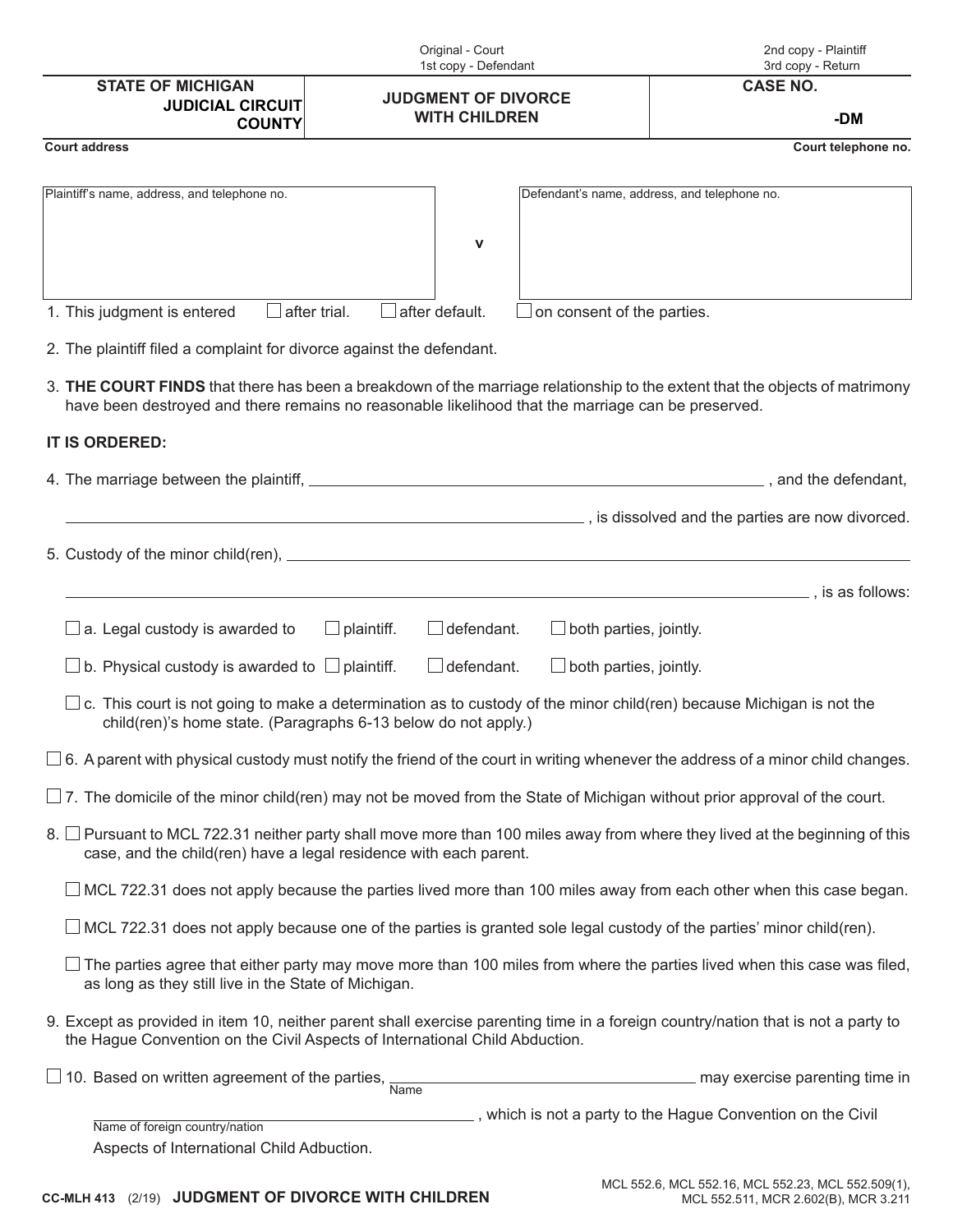|                                                                                                                                                                                                                                   | Original - Court<br>1st copy - Defendant           |                               | 2nd copy - Plaintiff<br>3rd copy - Return                                            |
|-----------------------------------------------------------------------------------------------------------------------------------------------------------------------------------------------------------------------------------|----------------------------------------------------|-------------------------------|--------------------------------------------------------------------------------------|
| <b>STATE OF MICHIGAN</b>                                                                                                                                                                                                          | <b>JUDGMENT OF DIVORCE</b><br><b>WITH CHILDREN</b> |                               | <b>CASE NO.</b>                                                                      |
| <b>JUDICIAL CIRCUIT</b><br><b>COUNTY</b>                                                                                                                                                                                          |                                                    |                               | -DM                                                                                  |
| <b>Court address</b>                                                                                                                                                                                                              |                                                    |                               | Court telephone no.                                                                  |
|                                                                                                                                                                                                                                   |                                                    |                               |                                                                                      |
| Plaintiff's name, address, and telephone no.                                                                                                                                                                                      |                                                    |                               | Defendant's name, address, and telephone no.                                         |
|                                                                                                                                                                                                                                   | $\mathbf v$                                        |                               |                                                                                      |
|                                                                                                                                                                                                                                   |                                                    |                               |                                                                                      |
| 1. This judgment is entered                                                                                                                                                                                                       | after default.                                     |                               |                                                                                      |
| after trial.<br>on consent of the parties.                                                                                                                                                                                        |                                                    |                               |                                                                                      |
| 2. The plaintiff filed a complaint for divorce against the defendant.                                                                                                                                                             |                                                    |                               |                                                                                      |
| 3. THE COURT FINDS that there has been a breakdown of the marriage relationship to the extent that the objects of matrimony<br>have been destroyed and there remains no reasonable likelihood that the marriage can be preserved. |                                                    |                               |                                                                                      |
| IT IS ORDERED:                                                                                                                                                                                                                    |                                                    |                               |                                                                                      |
|                                                                                                                                                                                                                                   |                                                    |                               |                                                                                      |
|                                                                                                                                                                                                                                   |                                                    |                               |                                                                                      |
|                                                                                                                                                                                                                                   |                                                    |                               | is dissolved and the parties are now divorced.                                       |
|                                                                                                                                                                                                                                   |                                                    |                               |                                                                                      |
|                                                                                                                                                                                                                                   |                                                    |                               | ., is as follows:<br><u> 1980 - Johann Barn, fransk politik (d. 1980)</u>            |
| $\Box$ a. Legal custody is awarded to                                                                                                                                                                                             | $\Box$ plaintiff.<br>defendant.                    | $\Box$ both parties, jointly. |                                                                                      |
| b. Physical custody is awarded to $\Box$ plaintiff.                                                                                                                                                                               | defendant.                                         | $\Box$ both parties, jointly. |                                                                                      |
| $\Box$ c. This court is not going to make a determination as to custody of the minor child(ren) because Michigan is not the<br>child(ren)'s home state. (Paragraphs 6-13 below do not apply.)                                     |                                                    |                               |                                                                                      |
| $\Box$ 6. A parent with physical custody must notify the friend of the court in writing whenever the address of a minor child changes.                                                                                            |                                                    |                               |                                                                                      |
| $\Box$ 7. The domicile of the minor child(ren) may not be moved from the State of Michigan without prior approval of the court.                                                                                                   |                                                    |                               |                                                                                      |
| 8. □ Pursuant to MCL 722.31 neither party shall move more than 100 miles away from where they lived at the beginning of this<br>case, and the child(ren) have a legal residence with each parent.                                 |                                                    |                               |                                                                                      |
| $\Box$ MCL 722.31 does not apply because the parties lived more than 100 miles away from each other when this case began.                                                                                                         |                                                    |                               |                                                                                      |
| $\Box$ MCL 722.31 does not apply because one of the parties is granted sole legal custody of the parties' minor child(ren).                                                                                                       |                                                    |                               |                                                                                      |
| $\Box$ The parties agree that either party may move more than 100 miles from where the parties lived when this case was filed,<br>as long as they still live in the State of Michigan.                                            |                                                    |                               |                                                                                      |
| 9. Except as provided in item 10, neither parent shall exercise parenting time in a foreign country/nation that is not a party to<br>the Hague Convention on the Civil Aspects of International Child Abduction.                  |                                                    |                               |                                                                                      |
| $\Box$ 10. Based on written agreement of the parties, $\frac{1}{\text{Name}}$                                                                                                                                                     |                                                    |                               | may exercise parenting time in                                                       |
|                                                                                                                                                                                                                                   |                                                    |                               | $\overline{\phantom{a}}$ , which is not a party to the Hague Convention on the Civil |
| Name of foreign country/nation<br>Aspects of International Child Adbuction.                                                                                                                                                       |                                                    |                               |                                                                                      |
|                                                                                                                                                                                                                                   |                                                    |                               |                                                                                      |

# **CC-MLH 413** (2/19) **JUDGMENT OF DIVORCE WITH CHILDREN**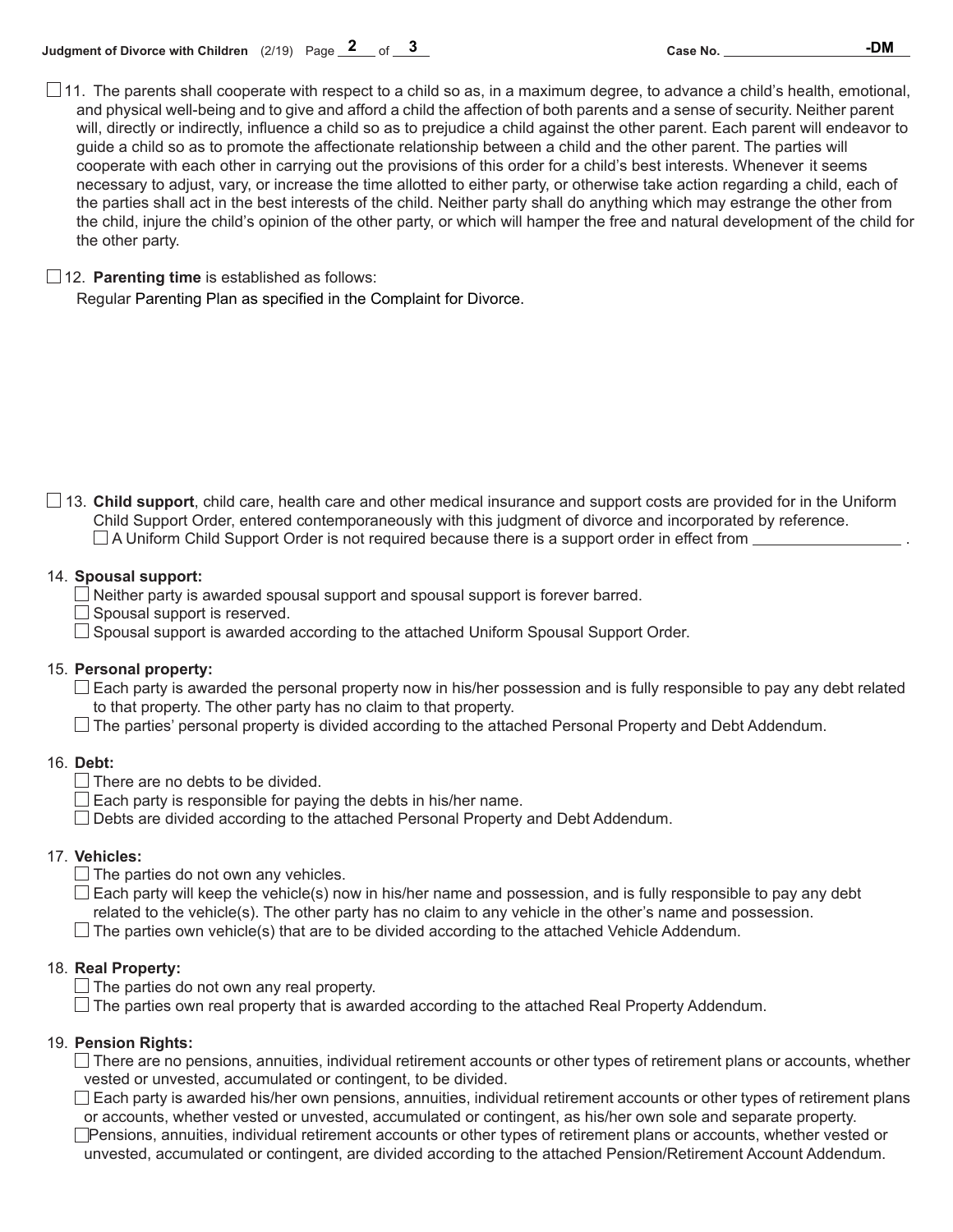**3 -DM**

## 12. **Parenting time** is established as follows:

Regular Parenting Plan as specified in the Complaint for Divorce.

13. **Child support**, child care, health care and other medical insurance and support costs are provided for in the Uniform Child Support Order, entered contemporaneously with this judgment of divorce and incorporated by reference.  $\square$  A Uniform Child Support Order is not required because there is a support order in effect from  $\square$ 

### 14. **Spousal support:**

 $\Box$  Neither party is awarded spousal support and spousal support is forever barred.

 $\Box$  Spousal support is reserved.

 $\Box$  Spousal support is awarded according to the attached Uniform Spousal Support Order.

### 15. **Personal property:**

 $\Box$  Each party is awarded the personal property now in his/her possession and is fully responsible to pay any debt related to that property. The other party has no claim to that property.

 $\Box$  The parties' personal property is divided according to the attached Personal Property and Debt Addendum.

### 16. **Debt:**

 $\Box$  There are no debts to be divided.

 $\Box$  Each party is responsible for paying the debts in his/her name.

Debts are divided according to the attached Personal Property and Debt Addendum.

### 17. **Vehicles:**

 $\Box$  The parties do not own any vehicles.

 $\Box$  Each party will keep the vehicle(s) now in his/her name and possession, and is fully responsible to pay any debt related to the vehicle(s). The other party has no claim to any vehicle in the other's name and possession.

 $\Box$  The parties own vehicle(s) that are to be divided according to the attached Vehicle Addendum.

### 18. **Real Property:**

 $\Box$  The parties do not own any real property.

 $\Box$  The parties own real property that is awarded according to the attached Real Property Addendum.

### 19. **Pension Rights:**

 $\Box$  There are no pensions, annuities, individual retirement accounts or other types of retirement plans or accounts, whether vested or unvested, accumulated or contingent, to be divided.

 $\Box$  Each party is awarded his/her own pensions, annuities, individual retirement accounts or other types of retirement plans or accounts, whether vested or unvested, accumulated or contingent, as his/her own sole and separate property.

Pensions, annuities, individual retirement accounts or other types of retirement plans or accounts, whether vested or unvested, accumulated or contingent, are divided according to the attached Pension/Retirement Account Addendum.